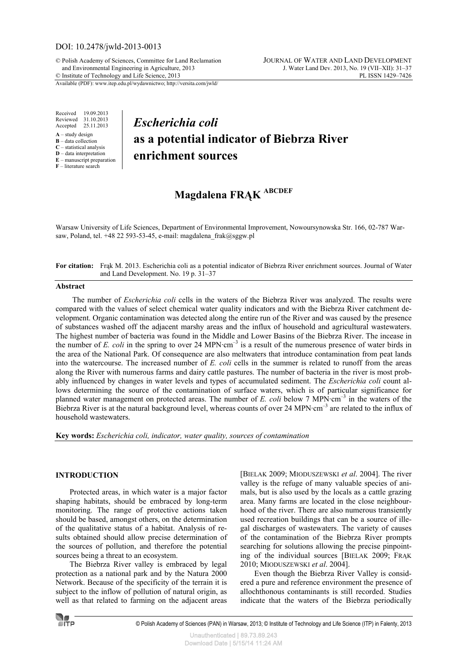## DOI: 10.2478/jwld-2013-0013

© Polish Academy of Sciences, Committee for Land Reclamation JOURNAL OF WATER AND LAND DEVELOPMENT and Environmental Engineering in Agriculture, 2013 J. Water Land Dev. 2013, No. 19 (VII–XII): 31–37<br>Institute of Technology and Life Science, 2013  $©$  Institute of Technology and Life Science, 2013

Available (PDF): www.itep.edu.pl/wydawnictwo; http://versita.com/jwld/

Received 19.09.2013 Reviewed 31.10.2013 Accepted 25.11.2013

- **A** study design
- **B** data collection
- **C** statistical analysis **D** – data interpretation
- **E** manuscript preparation

**F** – literature search

## *Escherichia coli* **as a potential indicator of Biebrza River enrichment sources**

# **Magdalena FRĄK ABCDEF**

Warsaw University of Life Sciences, Department of Environmental Improvement, Nowoursynowska Str. 166, 02-787 Warsaw, Poland, tel. +48 22 593-53-45, e-mail: magdalena frak@sggw.pl

**For citation:** Frąk M. 2013. Escherichia coli as a potential indicator of Biebrza River enrichment sources. Journal of Water and Land Development. No. 19 p. 31–37

### **Abstract**

The number of *Escherichia coli* cells in the waters of the Biebrza River was analyzed. The results were compared with the values of select chemical water quality indicators and with the Biebrza River catchment development. Organic contamination was detected along the entire run of the River and was caused by the presence of substances washed off the adjacent marshy areas and the influx of household and agricultural wastewaters. The highest number of bacteria was found in the Middle and Lower Basins of the Biebrza River. The incease in the number of *E. coli* in the spring to over 24 MPN·cm<sup>-3</sup> is a result of the numerous presence of water birds in the area of the National Park. Of consequence are also meltwaters that introduce contamination from peat lands into the watercourse. The increased number of *E. coli* cells in the summer is related to runoff from the areas along the River with numerous farms and dairy cattle pastures. The number of bacteria in the river is most probably influenced by changes in water levels and types of accumulated sediment. The *Escherichia coli* count allows determining the source of the contamination of surface waters, which is of particular significance for planned water management on protected areas. The number of *E. coli* below 7 MPN·cm<sup>-3</sup> in the waters of the Biebrza River is at the natural background level, whereas counts of over 24 MPN·cm<sup>-3</sup> are related to the influx of household wastewaters.

**Key words:** *Escherichia coli, indicator, water quality, sources of contamination*

#### **INTRODUCTION**

Protected areas, in which water is a major factor shaping habitats, should be embraced by long-term monitoring. The range of protective actions taken should be based, amongst others, on the determination of the qualitative status of a habitat. Analysis of results obtained should allow precise determination of the sources of pollution, and therefore the potential sources being a threat to an ecosystem.

The Biebrza River valley is embraced by legal protection as a national park and by the Natura 2000 Network. Because of the specificity of the terrain it is subject to the inflow of pollution of natural origin, as well as that related to farming on the adjacent areas [BIELAK 2009; MIODUSZEWSKI *et al*. 2004]. The river valley is the refuge of many valuable species of animals, but is also used by the locals as a cattle grazing area. Many farms are located in the close neighbourhood of the river. There are also numerous transiently used recreation buildings that can be a source of illegal discharges of wastewaters. The variety of causes of the contamination of the Biebrza River prompts searching for solutions allowing the precise pinpointing of the individual sources [BIELAK 2009; FRĄK 2010; MIODUSZEWSKI *et al*. 2004].

Even though the Biebrza River Valley is considered a pure and reference environment the presence of allochthonous contaminants is still recorded. Studies indicate that the waters of the Biebrza periodically

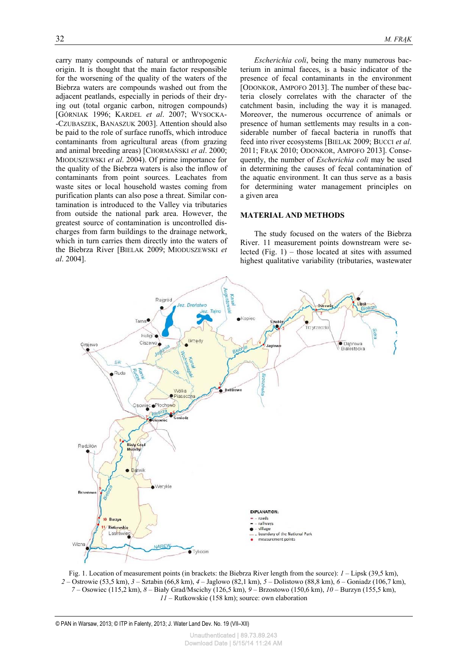carry many compounds of natural or anthropogenic origin. It is thought that the main factor responsible for the worsening of the quality of the waters of the Biebrza waters are compounds washed out from the adjacent peatlands, especially in periods of their drying out (total organic carbon, nitrogen compounds) [GÓRNIAK 1996; KARDEL *et al*. 2007; WYSOCKA- -CZUBASZEK, BANASZUK 2003]. Attention should also be paid to the role of surface runoffs, which introduce contaminants from agricultural areas (from grazing and animal breeding areas) [CHORMAŃSKI *et al*. 2000; MIODUSZEWSKI *et al*. 2004). Of prime importance for the quality of the Biebrza waters is also the inflow of contaminants from point sources. Leachates from waste sites or local household wastes coming from purification plants can also pose a threat. Similar contamination is introduced to the Valley via tributaries from outside the national park area. However, the greatest source of contamination is uncontrolled discharges from farm buildings to the drainage network, which in turn carries them directly into the waters of the Biebrza River [BIELAK 2009; MIODUSZEWSKI *et al*. 2004].

*Escherichia coli*, being the many numerous bacterium in animal faeces, is a basic indicator of the presence of fecal contaminants in the environment [ODONKOR, AMPOFO 2013]. The number of these bacteria closely correlates with the character of the catchment basin, including the way it is managed. Moreover, the numerous occurrence of animals or presence of human settlements may results in a considerable number of faecal bacteria in runoffs that feed into river ecosystems [BIELAK 2009; BUCCI *et al*. 2011; FRĄK 2010; ODONKOR, AMPOFO 2013]. Consequently, the number of *Escherichia coli* may be used in determining the causes of fecal contamination of the aquatic environment. It can thus serve as a basis for determining water management principles on a given area

#### **MATERIAL AND METHODS**

The study focused on the waters of the Biebrza River. 11 measurement points downstream were selected (Fig. 1) – those located at sites with assumed highest qualitative variability (tributaries, wastewater



Fig. 1. Location of measurement points (in brackets: the Biebrza River length from the source): *1* – Lipsk (39,5 km), *2* – Ostrowie (53,5 km), *3* – Sztabin (66,8 km), *4* – Jaglowo (82,1 km), *5* – Dolistowo (88,8 km), *6* – Goniadz (106,7 km), *7* – Osowiec (115,2 km), *8* – Biały Grad/Mscichy (126,5 km), *9* – Brzostowo (150,6 km), *10* – Burzyn (155,5 km), *11* – Rutkowskie (158 km); source: own elaboration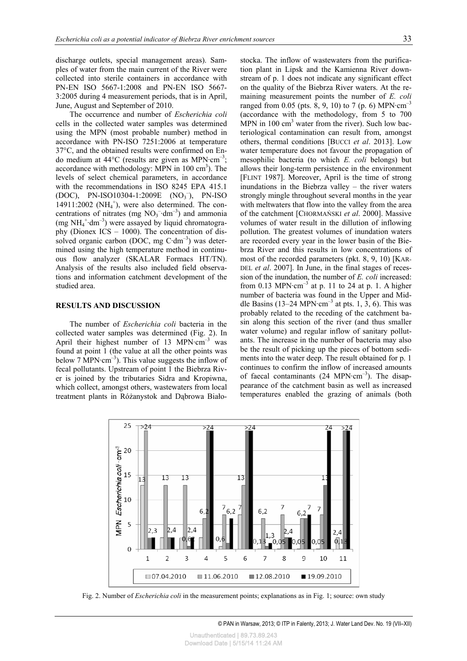discharge outlets, special management areas). Samples of water from the main current of the River were collected into sterile containers in accordance with PN-EN ISO 5667-1:2008 and PN-EN ISO 5667- 3:2005 during 4 measurement periods, that is in April, June, August and September of 2010.

The occurrence and number of *Escherichia coli* cells in the collected water samples was determined using the MPN (most probable number) method in accordance with PN-ISO 7251:2006 at temperature 37°C, and the obtained results were confirmed on Endo medium at  $44^{\circ}$ C (results are given as MPN $\cdot$ cm<sup>-3</sup>; accordance with methodology: MPN in  $100 \text{ cm}^3$ ). The levels of select chemical parameters, in accordance with the recommendations in ISO 8245 EPA 415.1 (DOC), PN-ISO10304-1:2009E (NO<sub>3</sub><sup>-</sup>), PN-ISO  $14911:2002$  (NH<sub>4</sub><sup>+</sup>), were also determined. The concentrations of nitrates (mg  $NO_3^-$ ·dm<sup>-3</sup>) and ammonia (mg  $NH_4^+$ ·dm<sup>-3</sup>) were assayed by liquid chromatography (Dionex ICS – 1000). The concentration of dissolved organic carbon (DOC, mg  $C \cdot dm^{-3}$ ) was determined using the high temperature method in continuous flow analyzer (SKALAR Formacs HT/TN). Analysis of the results also included field observations and information catchment development of the studied area.

### **RESULTS AND DISCUSSION**

The number of *Escherichia coli* bacteria in the collected water samples was determined (Fig. 2). In April their highest number of 13 MPN $\cdot$ cm<sup>-3</sup> was found at point 1 (the value at all the other points was below 7 MPN $\cdot$ cm<sup>-3</sup>). This value suggests the inflow of fecal pollutants. Upstream of point 1 the Biebrza River is joined by the tributaries Sidra and Kropiwna, which collect, amongst others, wastewaters from local treatment plants in Różanystok and Dąbrowa Białostocka. The inflow of wastewaters from the purification plant in Lipsk and the Kamienna River downstream of p. 1 does not indicate any significant effect on the quality of the Biebrza River waters. At the remaining measurement points the number of *E. coli* ranged from 0.05 (pts. 8, 9, 10) to 7 (p. 6) MPN $\cdot$ cm<sup>-3</sup> (accordance with the methodology, from 5 to 700 MPN in 100 cm<sup>3</sup> water from the river). Such low bacteriological contamination can result from, amongst others, thermal conditions [BUCCI *et al*. 2013]. Low water temperature does not favour the propagation of mesophilic bacteria (to which *E. coli* belongs) but allows their long-term persistence in the environment [FLINT 1987]. Moreover, April is the time of strong inundations in the Biebrza valley – the river waters strongly mingle throughout several months in the year with meltwaters that flow into the valley from the area of the catchment [CHORMAŃSKI *et al*. 2000]. Massive volumes of water result in the dillution of inflowing pollution. The greatest volumes of inundation waters are recorded every year in the lower basin of the Biebrza River and this results in low concentrations of most of the recorded parameters (pkt. 8, 9, 10) [KAR-DEL *et al*. 2007]. In June, in the final stages of recession of the inundation, the number of *E. coli* increased: from 0.13 MPN $\cdot$ cm<sup>-3</sup> at p. 11 to 24 at p. 1. A higher number of bacteria was found in the Upper and Middle Basins (13–24 MPN·cm<sup>-3</sup> at pts. 1, 3, 6). This was probably related to the receding of the catchment basin along this section of the river (and thus smaller water volume) and regular inflow of sanitary pollutants. The increase in the number of bacteria may also be the result of picking up the pieces of bottom sediments into the water deep. The result obtained for p. 1 continues to confirm the inflow of increased amounts of faecal contaminants  $(24 \text{ MPN}\cdot\text{cm}^{-3})$ . The disappearance of the catchment basin as well as increased temperatures enabled the grazing of animals (both



Fig. 2. Number of *Escherichia coli* in the measurement points; explanations as in Fig. 1; source: own study

© PAN in Warsaw, 2013; © ITP in Falenty, 2013; J. Water Land Dev. No. 19 (VII–XII)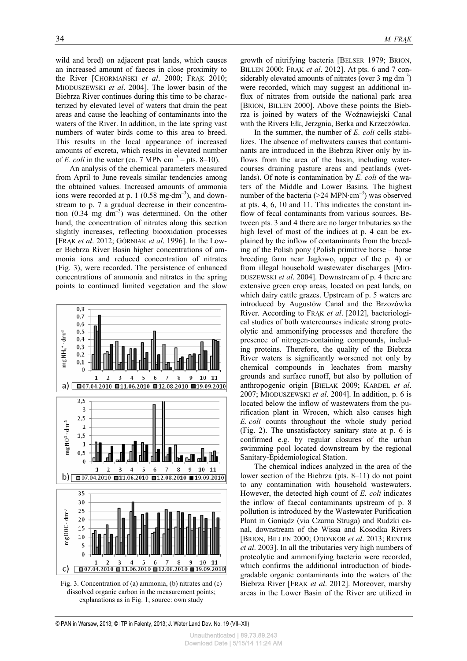wild and bred) on adjacent peat lands, which causes an increased amount of faeces in close proximity to the River [CHORMAŃSKI *et al*. 2000; FRĄK 2010; MIODUSZEWSKI *et al*. 2004]. The lower basin of the Biebrza River continues during this time to be characterized by elevated level of waters that drain the peat areas and cause the leaching of contaminants into the waters of the River. In addition, in the late spring vast numbers of water birds come to this area to breed. This results in the local appearance of increased amounts of excreta, which results in elevated number of *E. coli* in the water (ca. 7 MPN  $cm^{-3}$  – pts. 8–10).

An analysis of the chemical parameters measured from April to June reveals similar tendencies among the obtained values. Increased amounts of ammonia ions were recorded at p. 1 (0.58 mg·dm<sup>-3</sup>), and downstream to p. 7 a gradual decrease in their concentration  $(0.34 \text{ mg dm}^{-3})$  was determined. On the other hand, the concentration of nitrates along this section slightly increases, reflecting biooxidation processes [FRĄK *et al*. 2012; GÓRNIAK *et al*. 1996]. In the Lower Biebrza River Basin higher concentrations of ammonia ions and reduced concentration of nitrates (Fig. 3), were recorded. The persistence of enhanced concentrations of ammonia and nitrates in the spring points to continued limited vegetation and the slow



Fig. 3. Concentration of (a) ammonia, (b) nitrates and (c) dissolved organic carbon in the measurement points; explanations as in Fig. 1; source: own study

growth of nitrifying bacteria [BELSER 1979; BRION, BILLEN 2000; FRĄK *et al*. 2012]. At pts. 6 and 7 considerably elevated amounts of nitrates (over 3 mg dm<sup>-3</sup>) were recorded, which may suggest an additional influx of nitrates from outside the national park area [BRION, BILLEN 2000]. Above these points the Biebrza is joined by waters of the Woźnawiejski Canal with the Rivers Ełk, Jerzgnia, Berka and Krzeczówka.

In the summer, the number of *E. coli* cells stabilizes. The absence of meltwaters causes that contaminants are introduced in the Biebrza River only by inflows from the area of the basin, including watercourses draining pasture areas and peatlands (wetlands). Of note is contamination by *E. coli* of the waters of the Middle and Lower Basins. The highest number of the bacteria  $(>24$  MPN·cm<sup>-3</sup>) was observed at pts. 4, 6, 10 and 11. This indicates the constant inflow of fecal contaminants from various sources. Between pts. 3 and 4 there are no larger tributaries so the high level of most of the indices at p. 4 can be explained by the inflow of contaminants from the breeding of the Polish pony (Polish primitive horse – horse breeding farm near Jagłowo, upper of the p. 4) or from illegal household wastewater discharges [MIO-DUSZEWSKI *et al*. 2004]. Downstream of p. 4 there are extensive green crop areas, located on peat lands, on which dairy cattle grazes. Upstream of p. 5 waters are introduced by Augustów Canal and the Brzozówka River. According to FRĄK *et al*. [2012], bacteriological studies of both watercourses indicate strong proteolytic and ammonifying processes and therefore the presence of nitrogen-containing compounds, including proteins. Therefore, the quality of the Biebrza River waters is significantly worsened not only by chemical compounds in leachates from marshy grounds and surface runoff, but also by pollution of anthropogenic origin [BIELAK 2009; KARDEL *et al*. 2007; MIODUSZEWSKI *et al*. 2004]. In addition, p. 6 is located below the inflow of wastewaters from the purification plant in Wrocen, which also causes high *E. coli* counts throughout the whole study period (Fig. 2). The unsatisfactory sanitary state at p. 6 is confirmed e.g. by regular closures of the urban swimming pool located downstream by the regional Sanitary-Epidemiological Station.

The chemical indices analyzed in the area of the lower section of the Biebrza (pts. 8–11) do not point to any contamination with household wastewaters. However, the detected high count of *E. coli* indicates the inflow of faecal contaminants upstream of p. 8 pollution is introduced by the Wastewater Purification Plant in Goniądz (via Czarna Struga) and Rudzki canal, downstream of the Wissa and Kosodka Rivers [BRION, BILLEN 2000; ODONKOR *et al*. 2013; RENTER *et al*. 2003]. In all the tributaries very high numbers of proteolytic and ammonifying bacteria were recorded, which confirms the additional introduction of biodegradable organic contaminants into the waters of the Biebrza River [FRĄK *et al*. 2012]. Moreover, marshy areas in the Lower Basin of the River are utilized in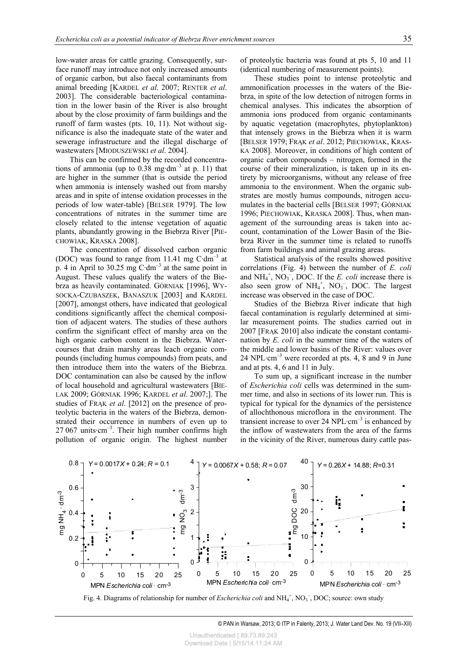low-water areas for cattle grazing. Consequently, surface runoff may introduce not only increased amounts of organic carbon, but also faecal contaminants from animal breeding [KARDEL *et al*. 2007; RENTER *et al*. 2003]. The considerable bacteriological contamination in the lower basin of the River is also brought about by the close proximity of farm buildings and the runoff of farm wastes (pts. 10, 11). Not without significance is also the inadequate state of the water and sewerage infrastructure and the illegal discharge of wastewaters [MIODUSZEWSKI *et al*. 2004].

This can be confirmed by the recorded concentrations of ammonia (up to  $0.38 \text{ mg} \cdot \text{dm}^{-3}$  at p. 11) that are higher in the summer (that is outside the period when ammonia is intensely washed out from marshy areas and in spite of intense oxidation processes in the periods of low water-table) [BELSER 1979]. The low concentrations of nitrates in the summer time are closely related to the intense vegetation of aquatic plants, abundantly growing in the Biebrza River [PIE-CHOWIAK, KRASKA 2008].

The concentration of dissolved carbon organic (DOC) was found to range from 11.41 mg  $C \cdot dm^{-3}$  at p. 4 in April to 30.25 mg  $C \cdot dm^{-3}$  at the same point in August. These values qualify the waters of the Biebrza as heavily contaminated. GÓRNIAK [1996], WY-SOCKA-CZUBASZEK, BANASZUK [2003] and KARDEL [2007], amongst others, have indicated that geological conditions significantly affect the chemical composition of adjacent waters. The studies of these authors confirm the significant effect of marshy area on the high organic carbon content in the Biebrza. Watercourses that drain marshy areas leach organic compounds (including humus compounds) from peats, and then introduce them into the waters of the Biebrza. DOC contamination can also be caused by the inflow of local household and agricultural wastewaters [BIE-LAK 2009; GÓRNIAK 1996; KARDEL *et al*. 2007;]. The studies of FRĄK *et al*. [2012] on the presence of proteolytic bacteria in the waters of the Biebrza, demonstrated their occurrence in numbers of even up to  $27 067$  units $cm^{-3}$ . Their high number confirms high pollution of organic origin. The highest number of proteolytic bacteria was found at pts 5, 10 and 11 (identical numbering of measurement points).

These studies point to intense proteolytic and ammonification processes in the waters of the Biebrza, in spite of the low detection of nitrogen forms in chemical analyses. This indicates the absorption of ammonia ions produced from organic contaminants by aquatic vegetation (macrophytes, phytoplankton) that intensely grows in the Biebrza when it is warm [BELSER 1979; FRĄK *et al*. 2012; PIECHOWIAK, KRAS-KA 2008]. Moreover, in conditions of high content of organic carbon compounds – nitrogen, formed in the course of their mineralization, is taken up in its entirety by microorganisms, without any release of free ammonia to the environment. When the organic substrates are mostly humus compounds, nitrogen accumulates in the bacterial cells [BELSER 1997; GÓRNIAK 1996; PIECHOWIAK, KRASKA 2008]. Thus, when management of the surrounding areas is taken into account, contamination of the Lower Basin of the Biebrza River in the summer time is related to runoffs from farm buildings and animal grazing areas.

Statistical analysis of the results showed positive correlations (Fig. 4) between the number of *E. coli* and  $NH_4^+$ ,  $NO_3^-$ , DOC. If the *E. coli* increase there is also seen grow of  $NH_4^+$ ,  $NO_3^-$ , DOC. The largest increase was observed in the case of DOC.

Studies of the Biebrza River indicate that high faecal contamination is regularly determined at similar measurement points. The studies carried out in 2007 [FRĄK 2010] also indicate the constant contamination by *E. coli* in the summer time of the waters of the middle and lower basins of the River: values over 24 NPL $\cdot$ cm<sup>-3</sup> were recorded at pts. 4, 8 and 9 in June and at pts. 4, 6 and 11 in July.

To sum up, a significant increase in the number of *Escherichia coli* cells was determined in the summer time, and also in sections of its lower run. This is typical for typical for the dynamics of the persistence of allochthonous microflora in the environment. The transient increase to over 24 NPL $\cdot$ cm<sup>-3</sup> is enhanced by the inflow of wastewaters from the area of the farms in the vicinity of the River, numerous dairy cattle pas-



Fig. 4. Diagrams of relationship for number of *Escherichia coli* and NH<sub>4</sub><sup>+</sup>, NO<sub>3</sub><sup>-</sup>, DOC; source: own study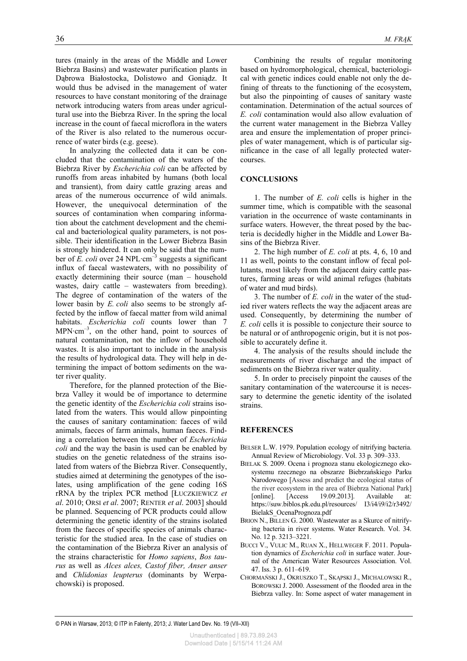tures (mainly in the areas of the Middle and Lower Biebrza Basins) and wastewater purification plants in Dąbrowa Białostocka, Dolistowo and Goniądz. It would thus be advised in the management of water resources to have constant monitoring of the drainage network introducing waters from areas under agricultural use into the Biebrza River. In the spring the local increase in the count of faecal microflora in the waters of the River is also related to the numerous occurrence of water birds (e.g. geese).

In analyzing the collected data it can be concluded that the contamination of the waters of the Biebrza River by *Escherichia coli* can be affected by runoffs from areas inhabited by humans (both local and transient), from dairy cattle grazing areas and areas of the numerous occurrence of wild animals. However, the unequivocal determination of the sources of contamination when comparing information about the catchment development and the chemical and bacteriological quality parameters, is not possible. Their identification in the Lower Biebrza Basin is strongly hindered. It can only be said that the number of *E. coli* over 24 NPL·cm<sup>-3</sup> suggests a significant influx of faecal wastewaters, with no possibility of exactly determining their source (man – household wastes, dairy cattle – wastewaters from breeding). The degree of contamination of the waters of the lower basin by *E. coli* also seems to be strongly affected by the inflow of faecal matter from wild animal habitats. *Escherichia coli* counts lower than 7  $MPN·cm<sup>-3</sup>$ , on the other hand, point to sources of natural contamination, not the inflow of household wastes. It is also important to include in the analysis the results of hydrological data. They will help in determining the impact of bottom sediments on the water river quality.

Therefore, for the planned protection of the Biebrza Valley it would be of importance to determine the genetic identity of the *Escherichia coli* strains isolated from the waters. This would allow pinpointing the causes of sanitary contamination: faeces of wild animals, faeces of farm animals, human faeces. Finding a correlation between the number of *Escherichia coli* and the way the basin is used can be enabled by studies on the genetic relatedness of the strains isolated from waters of the Biebrza River. Consequently, studies aimed at determining the genotypes of the isolates, using amplification of the gene coding 16S rRNA by the triplex PCR method [ŁUCZKIEWICZ *et al*. 2010; ORSI *et al*. 2007; RENTER *et al*. 2003] should be planned. Sequencing of PCR products could allow determining the genetic identity of the strains isolated from the faeces of specific species of animals characteristic for the studied area. In the case of studies on the contamination of the Biebrza River an analysis of the strains characteristic for *Homo sapiens*, *Bos taurus* as well as *Alces alces, Castof fiber, Anser anser* and *Chlidonias leupterus* (dominants by Werpachowski) is proposed.

Combining the results of regular monitoring based on hydromorphological, chemical, bacteriological with genetic indices could enable not only the defining of threats to the functioning of the ecosystem, but also the pinpointing of causes of sanitary waste contamination. Determination of the actual sources of *E. coli* contamination would also allow evaluation of the current water management in the Biebrza Valley area and ensure the implementation of proper principles of water management, which is of particular significance in the case of all legally protected watercourses.

## **CONCLUSIONS**

1. The number of *E. coli* cells is higher in the summer time, which is compatible with the seasonal variation in the occurrence of waste contaminants in surface waters. However, the threat posed by the bacteria is decidedly higher in the Middle and Lower Basins of the Biebrza River.

2. The high number of *E. coli* at pts. 4, 6, 10 and 11 as well, points to the constant inflow of fecal pollutants, most likely from the adjacent dairy cattle pastures, farming areas or wild animal refuges (habitats of water and mud birds).

3. The number of *E. coli* in the water of the studied river waters reflects the way the adjacent areas are used. Consequently, by determining the number of *E. coli* cells it is possible to conjecture their source to be natural or of anthropogenic origin, but it is not possible to accurately define it.

4. The analysis of the results should include the measurements of river discharge and the impact of sediments on the Biebrza river water quality.

5. In order to precisely pinpoint the causes of the sanitary contamination of the watercourse it is necessary to determine the genetic identity of the isolated strains.

## **REFERENCES**

- BELSER L.W. 1979. Population ecology of nitrifying bacteria. Annual Review of Microbiology. Vol. 33 p. 309–333.
- BIELAK S. 2009. Ocena i prognoza stanu ekologicznego ekosystemu rzecznego na obszarze Biebrzańskiego Parku Narodowego [Assess and predict the ecological status of the river ecosystem in the area of Biebrza National Park] [online]. [Access 19.09.2013]. Available at: https://suw.biblos.pk.edu.pl/resources/ I3/i4/i9/i2/r3492/ BielakS\_OcenaPrognoza.pdf
- BRION N., BILLEN G. 2000. Wastewater as a Skurce of nitrifying bacteria in river systems. Water Research. Vol. 34. No. 12 p. 3213–3221.
- BUCCI V., VULIC M., RUAN X., HELLWEGER F. 2011. Population dynamics of *Escherichia coli* in surface water. Journal of the American Water Resources Association. Vol. 47. Iss. 3 p. 611–619.
- CHORMAŃSKI J., OKRUSZKO T., SKĄPSKI J., MICHALOWSKI R., BOROWSKI J. 2000. Assessment of the flooded area in the Biebrza valley. In: Some aspect of water management in

© PAN in Warsaw, 2013; © ITP in Falenty, 2013; J. Water Land Dev. No. 19 (VII–XII)